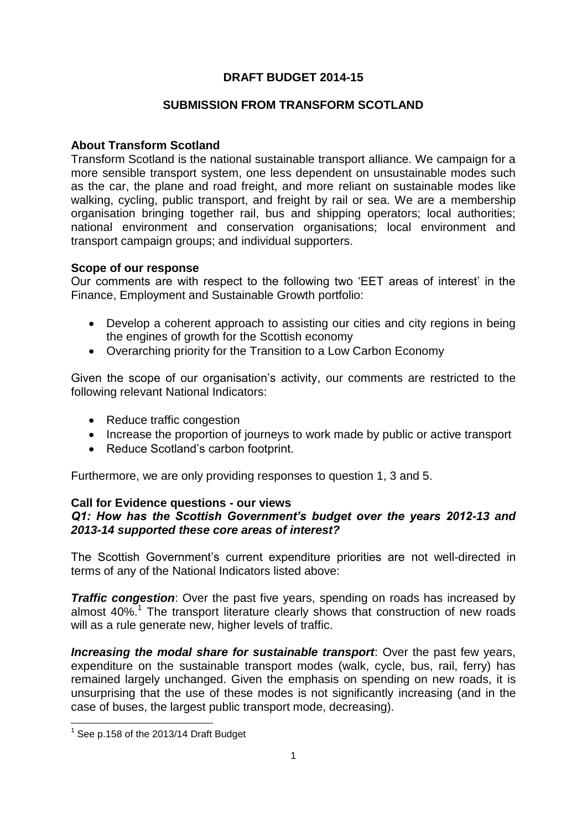# **DRAFT BUDGET 2014-15**

## **SUBMISSION FROM TRANSFORM SCOTLAND**

## **About Transform Scotland**

Transform Scotland is the national sustainable transport alliance. We campaign for a more sensible transport system, one less dependent on unsustainable modes such as the car, the plane and road freight, and more reliant on sustainable modes like walking, cycling, public transport, and freight by rail or sea. We are a membership organisation bringing together rail, bus and shipping operators; local authorities; national environment and conservation organisations; local environment and transport campaign groups; and individual supporters.

### **Scope of our response**

Our comments are with respect to the following two 'EET areas of interest' in the Finance, Employment and Sustainable Growth portfolio:

- Develop a coherent approach to assisting our cities and city regions in being the engines of growth for the Scottish economy
- Overarching priority for the Transition to a Low Carbon Economy

Given the scope of our organisation's activity, our comments are restricted to the following relevant National Indicators:

- Reduce traffic congestion
- Increase the proportion of journeys to work made by public or active transport
- Reduce Scotland's carbon footprint.

Furthermore, we are only providing responses to question 1, 3 and 5.

#### **Call for Evidence questions - our views** *Q1: How has the Scottish Government's budget over the years 2012-13 and 2013-14 supported these core areas of interest?*

The Scottish Government's current expenditure priorities are not well-directed in terms of any of the National Indicators listed above:

*Traffic congestion:* Over the past five years, spending on roads has increased by almost 40%.<sup>1</sup> The transport literature clearly shows that construction of new roads will as a rule generate new, higher levels of traffic.

*Increasing the modal share for sustainable transport*: Over the past few years, expenditure on the sustainable transport modes (walk, cycle, bus, rail, ferry) has remained largely unchanged. Given the emphasis on spending on new roads, it is unsurprising that the use of these modes is not significantly increasing (and in the case of buses, the largest public transport mode, decreasing).

1

 $<sup>1</sup>$  See p.158 of the 2013/14 Draft Budget</sup>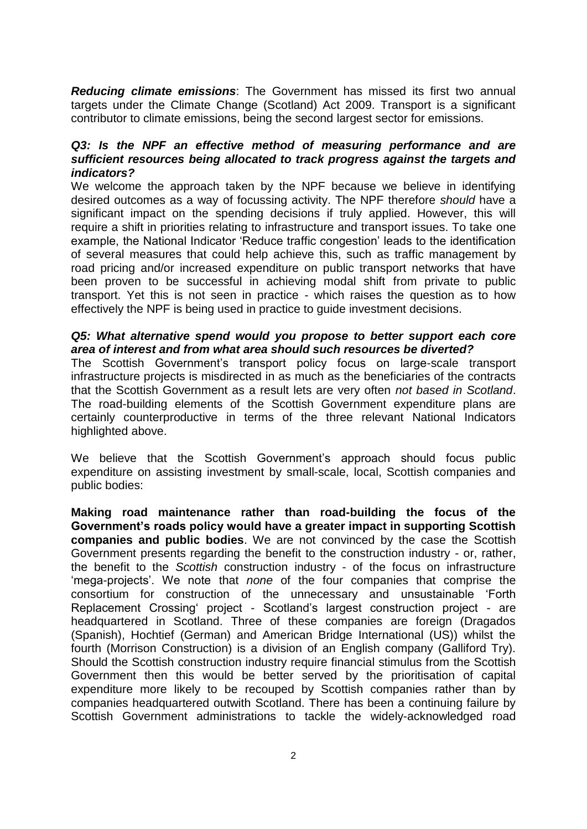*Reducing climate emissions*: The Government has missed its first two annual targets under the Climate Change (Scotland) Act 2009. Transport is a significant contributor to climate emissions, being the second largest sector for emissions.

## *Q3: Is the NPF an effective method of measuring performance and are sufficient resources being allocated to track progress against the targets and indicators?*

We welcome the approach taken by the NPF because we believe in identifying desired outcomes as a way of focussing activity. The NPF therefore *should* have a significant impact on the spending decisions if truly applied. However, this will require a shift in priorities relating to infrastructure and transport issues. To take one example, the National Indicator 'Reduce traffic congestion' leads to the identification of several measures that could help achieve this, such as traffic management by road pricing and/or increased expenditure on public transport networks that have been proven to be successful in achieving modal shift from private to public transport. Yet this is not seen in practice - which raises the question as to how effectively the NPF is being used in practice to guide investment decisions.

## *Q5: What alternative spend would you propose to better support each core area of interest and from what area should such resources be diverted?*

The Scottish Government's transport policy focus on large-scale transport infrastructure projects is misdirected in as much as the beneficiaries of the contracts that the Scottish Government as a result lets are very often *not based in Scotland*. The road-building elements of the Scottish Government expenditure plans are certainly counterproductive in terms of the three relevant National Indicators highlighted above.

We believe that the Scottish Government's approach should focus public expenditure on assisting investment by small-scale, local, Scottish companies and public bodies:

**Making road maintenance rather than road-building the focus of the Government's roads policy would have a greater impact in supporting Scottish companies and public bodies**. We are not convinced by the case the Scottish Government presents regarding the benefit to the construction industry - or, rather, the benefit to the *Scottish* construction industry - of the focus on infrastructure 'mega-projects'. We note that *none* of the four companies that comprise the consortium for construction of the unnecessary and unsustainable 'Forth Replacement Crossing' project - Scotland's largest construction project - are headquartered in Scotland. Three of these companies are foreign (Dragados (Spanish), Hochtief (German) and American Bridge International (US)) whilst the fourth (Morrison Construction) is a division of an English company (Galliford Try). Should the Scottish construction industry require financial stimulus from the Scottish Government then this would be better served by the prioritisation of capital expenditure more likely to be recouped by Scottish companies rather than by companies headquartered outwith Scotland. There has been a continuing failure by Scottish Government administrations to tackle the widely-acknowledged road